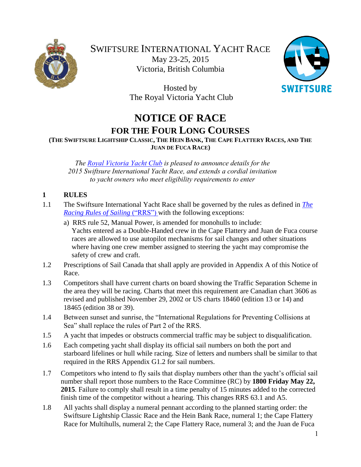



Hosted by The Royal Victoria Yacht Club

# **NOTICE OF RACE FOR THE FOUR LONG COURSES**

(THE SWIFTSURE LIGHTSHIP CLASSIC, THE HEIN BANK, THE CAPE FLATTERY RACES, AND THE **JUAN DE FUCA RACE)**

*The [Royal Victoria Yacht Club](https://rvyc.bc.ca/) is pleased to announce details for the 2015 Swiftsure International Yacht Race, and extends a cordial invitation to yacht owners who meet eligibility requirements to enter*

# **1 RULES**

- 1.1 The Swiftsure International Yacht Race shall be governed by the rules as defined in *[The](http://www.sailing.org/tools/documents/ISAFRRS20132016Final-%5B13376%5D.pdf)  [Racing Rules of Sailing](http://www.sailing.org/tools/documents/ISAFRRS20132016Final-%5B13376%5D.pdf)* ("RRS") with the following exceptions:
	- a) RRS rule 52, Manual Power, is amended for monohulls to include: Yachts entered as a Double-Handed crew in the Cape Flattery and Juan de Fuca course races are allowed to use autopilot mechanisms for sail changes and other situations where having one crew member assigned to steering the yacht may compromise the safety of crew and craft.
- 1.2 Prescriptions of Sail Canada that shall apply are provided in Appendix A of this Notice of Race.
- 1.3 Competitors shall have current charts on board showing the Traffic Separation Scheme in the area they will be racing. Charts that meet this requirement are Canadian chart 3606 as revised and published November 29, 2002 or US charts 18460 (edition 13 or 14) and 18465 (edition 38 or 39).
- 1.4 Between sunset and sunrise, the "International Regulations for Preventing Collisions at Sea" shall replace the rules of Part 2 of the RRS.
- 1.5 A yacht that impedes or obstructs commercial traffic may be subject to disqualification.
- 1.6 Each competing yacht shall display its official sail numbers on both the port and starboard lifelines or hull while racing. Size of letters and numbers shall be similar to that required in the RRS Appendix G1.2 for sail numbers.
- 1.7 Competitors who intend to fly sails that display numbers other than the yacht's official sail number shall report those numbers to the Race Committee (RC) by **1800 Friday May 22, 2015**. Failure to comply shall result in a time penalty of 15 minutes added to the corrected finish time of the competitor without a hearing. This changes RRS 63.1 and A5.
- 1.8 All yachts shall display a numeral pennant according to the planned starting order: the Swiftsure Lightship Classic Race and the Hein Bank Race, numeral 1; the Cape Flattery Race for Multihulls, numeral 2; the Cape Flattery Race, numeral 3; and the Juan de Fuca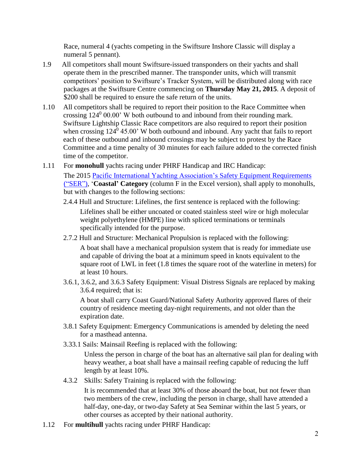Race, numeral 4 (yachts competing in the Swiftsure Inshore Classic will display a numeral 5 pennant).

- 1.9 All competitors shall mount Swiftsure-issued transponders on their yachts and shall operate them in the prescribed manner. The transponder units, which will transmit competitors' position to Swiftsure's Tracker System, will be distributed along with race packages at the Swiftsure Centre commencing on **Thursday May 21, 2015**. A deposit of \$200 shall be required to ensure the safe return of the units.
- 1.10 All competitors shall be required to report their position to the Race Committee when crossing  $124^0$  00.00' W both outbound to and inbound from their rounding mark. Swiftsure Lightship Classic Race competitors are also required to report their position when crossing  $124^0$  45.00' W both outbound and inbound. Any yacht that fails to report each of these outbound and inbound crossings may be subject to protest by the Race Committee and a time penalty of 30 minutes for each failure added to the corrected finish time of the competitor.
- 1.11 For **monohull** yachts racing under PHRF Handicap and IRC Handicap: The 2015 [Pacific International Yachting Association's Safety Equipment Requirements](http://www.piyasailing.com/)  [\("SER"\),](http://www.piyasailing.com/) '**Coastal' Category** (column F in the Excel version), shall apply to monohulls, but with changes to the following sections:
	- 2.4.4 Hull and Structure: Lifelines, the first sentence is replaced with the following: Lifelines shall be either uncoated or coated stainless steel wire or high molecular weight polyethylene (HMPE) line with spliced terminations or terminals specifically intended for the purpose.
	- 2.7.2 Hull and Structure: Mechanical Propulsion is replaced with the following:

A boat shall have a mechanical propulsion system that is ready for immediate use and capable of driving the boat at a minimum speed in knots equivalent to the square root of LWL in feet (1.8 times the square root of the waterline in meters) for at least 10 hours.

3.6.1, 3.6.2, and 3.6.3 Safety Equipment: Visual Distress Signals are replaced by making 3.6.4 required; that is:

A boat shall carry Coast Guard/National Safety Authority approved flares of their country of residence meeting day-night requirements, and not older than the expiration date.

- 3.8.1 Safety Equipment: Emergency Communications is amended by deleting the need for a masthead antenna.
- 3.33.1 Sails: Mainsail Reefing is replaced with the following:

Unless the person in charge of the boat has an alternative sail plan for dealing with heavy weather, a boat shall have a mainsail reefing capable of reducing the luff length by at least 10%.

4.3.2 Skills: Safety Training is replaced with the following:

It is recommended that at least 30% of those aboard the boat, but not fewer than two members of the crew, including the person in charge, shall have attended a half-day, one-day, or two-day Safety at Sea Seminar within the last 5 years, or other courses as accepted by their national authority.

1.12 For **multihull** yachts racing under PHRF Handicap: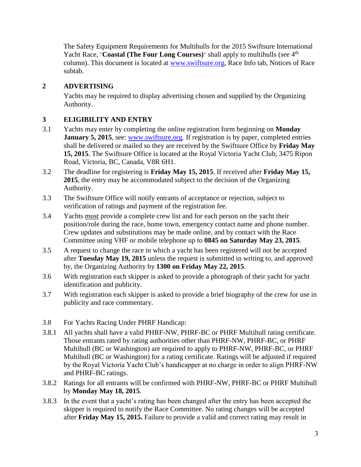The Safety Equipment Requirements for Multihulls for the 2015 Swiftsure International Yacht Race, '**Coastal (The Four Long Courses**)' shall apply to multihulls (see 4<sup>th</sup>) column). This document is located at [www.swiftsure.org,](http://www.swiftsure.org/wp-content/uploads/2014/11/Safety-Equipment-Requirements-for-Multihulls-for-the-2015-Swiftsure-International-Yacht-Race.pdf) Race Info tab, Notices of Race subtab.

# **2 ADVERTISING**

Yachts may be required to display advertising chosen and supplied by the Organizing Authority.

# **3 ELIGIBILITY AND ENTRY**

- 3.1 Yachts may enter by completing the online registration form beginning on **Monday January 5, 2015**, see: [www.swiftsure.org.](http://www.swiftsure.org/) If registration is by paper, completed entries shall be delivered or mailed so they are received by the Swiftsure Office by **Friday May 15, 2015**. The Swiftsure Office is located at the Royal Victoria Yacht Club, 3475 Ripon Road, Victoria, BC, Canada, V8R 6H1.
- 3.2 The deadline for registering is **Friday May 15, 2015**. If received after **Friday May 15, 2015**, the entry may be accommodated subject to the decision of the Organizing Authority.
- 3.3 The Swiftsure Office will notify entrants of acceptance or rejection, subject to verification of ratings and payment of the registration fee.
- 3.4 Yachts must provide a complete crew list and for each person on the yacht their position/role during the race, home town, emergency contact name and phone number. Crew updates and substitutions may be made online, and by contact with the Race Committee using VHF or mobile telephone up to **0845 on Saturday May 23, 2015**.
- 3.5 A request to change the race in which a yacht has been registered will not be accepted after **Tuesday May 19, 2015** unless the request is submitted in writing to, and approved by, the Organizing Authority by **1300 on Friday May 22, 2015**.
- 3.6 With registration each skipper is asked to provide a photograph of their yacht for yacht identification and publicity.
- 3.7 With registration each skipper is asked to provide a brief biography of the crew for use in publicity and race commentary.
- 3.8 For Yachts Racing Under PHRF Handicap:
- 3.8.1 All yachts shall have a valid PHRF-NW, PHRF-BC or PHRF Multihull rating certificate. Those entrants rated by rating authorities other than PHRF-NW, PHRF-BC, or PHRF Multihull (BC or Washington) are required to apply to PHRF-NW, PHRF-BC, or PHRF Multihull (BC or Washington) for a rating certificate. Ratings will be adjusted if required by the Royal Victoria Yacht Club's handicapper at no charge in order to align PHRF-NW and PHRF-BC ratings.
- 3.8.2 Ratings for all entrants will be confirmed with PHRF-NW, PHRF-BC or PHRF Multihull by **Monday May 18, 2015**.
- 3.8.3 In the event that a yacht's rating has been changed after the entry has been accepted the skipper is required to notify the Race Committee. No rating changes will be accepted after **Friday May 15, 2015.** Failure to provide a valid and correct rating may result in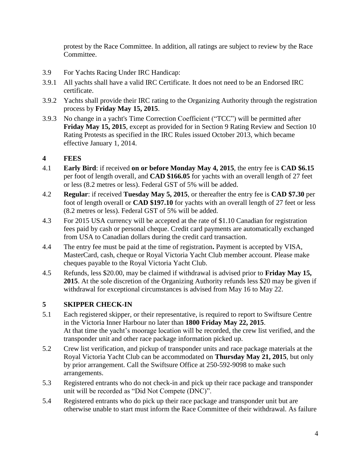protest by the Race Committee. In addition, all ratings are subject to review by the Race Committee.

- 3.9 For Yachts Racing Under IRC Handicap:
- 3.9.1 All yachts shall have a valid IRC Certificate. It does not need to be an Endorsed IRC certificate.
- 3.9.2 Yachts shall provide their IRC rating to the Organizing Authority through the registration process by **Friday May 15, 2015**.
- 3.9.3 No change in a yacht's Time Correction Coefficient ("TCC") will be permitted after **Friday May 15, 2015**, except as provided for in Section 9 Rating Review and Section 10 Rating Protests as specified in the IRC Rules issued October 2013, which became effective January 1, 2014.

# **4 FEES**

- 4.1 **Early Bird**: if received **on or before Monday May 4, 2015**, the entry fee is **CAD \$6.15** per foot of length overall, and **CAD \$166.05** for yachts with an overall length of 27 feet or less (8.2 metres or less). Federal GST of 5% will be added.
- 4.2 **Regular**: if received **Tuesday May 5, 2015**, or thereafter the entry fee is **CAD \$7.30** per foot of length overall or **CAD \$197.10** for yachts with an overall length of 27 feet or less (8.2 metres or less). Federal GST of 5% will be added.
- 4.3 For 2015 USA currency will be accepted at the rate of \$1.10 Canadian for registration fees paid by cash or personal cheque. Credit card payments are automatically exchanged from USA to Canadian dollars during the credit card transaction.
- 4.4 The entry fee must be paid at the time of registration**.** Payment is accepted by VISA, MasterCard, cash, cheque or Royal Victoria Yacht Club member account. Please make cheques payable to the Royal Victoria Yacht Club.
- 4.5 Refunds, less \$20.00, may be claimed if withdrawal is advised prior to **Friday May 15, 2015**. At the sole discretion of the Organizing Authority refunds less \$20 may be given if withdrawal for exceptional circumstances is advised from May 16 to May 22.

# **5 SKIPPER CHECK-IN**

- 5.1 Each registered skipper, or their representative, is required to report to Swiftsure Centre in the Victoria Inner Harbour no later than **1800 Friday May 22, 2015**. At that time the yacht's moorage location will be recorded, the crew list verified, and the transponder unit and other race package information picked up.
- 5.2 Crew list verification, and pickup of transponder units and race package materials at the Royal Victoria Yacht Club can be accommodated on **Thursday May 21, 2015**, but only by prior arrangement. Call the Swiftsure Office at 250-592-9098 to make such arrangements.
- 5.3 Registered entrants who do not check-in and pick up their race package and transponder unit will be recorded as "Did Not Compete (DNC)".
- 5.4 Registered entrants who do pick up their race package and transponder unit but are otherwise unable to start must inform the Race Committee of their withdrawal. As failure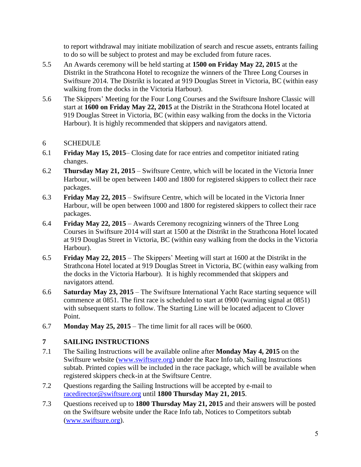to report withdrawal may initiate mobilization of search and rescue assets, entrants failing to do so will be subject to protest and may be excluded from future races.

- 5.5 An Awards ceremony will be held starting at **1500 on Friday May 22, 2015** at the Distrikt in the Strathcona Hotel to recognize the winners of the Three Long Courses in Swiftsure 2014. The Distrikt is located at 919 Douglas Street in Victoria, BC (within easy walking from the docks in the Victoria Harbour).
- 5.6 The Skippers' Meeting for the Four Long Courses and the Swiftsure Inshore Classic will start at **1600 on Friday May 22, 2015** at the Distrikt in the Strathcona Hotel located at 919 Douglas Street in Victoria, BC (within easy walking from the docks in the Victoria Harbour). It is highly recommended that skippers and navigators attend.

# 6 SCHEDULE

- 6.1 **Friday May 15, 2015** Closing date for race entries and competitor initiated rating changes.
- 6.2 **Thursday May 21, 2015** Swiftsure Centre, which will be located in the Victoria Inner Harbour, will be open between 1400 and 1800 for registered skippers to collect their race packages.
- 6.3 **Friday May 22, 2015** Swiftsure Centre, which will be located in the Victoria Inner Harbour, will be open between 1000 and 1800 for registered skippers to collect their race packages.
- 6.4 **Friday May 22, 2015** Awards Ceremony recognizing winners of the Three Long Courses in Swiftsure 2014 will start at 1500 at the Distrikt in the Strathcona Hotel located at 919 Douglas Street in Victoria, BC (within easy walking from the docks in the Victoria Harbour).
- 6.5 **Friday May 22, 2015** The Skippers' Meeting will start at 1600 at the Distrikt in the Strathcona Hotel located at 919 Douglas Street in Victoria, BC (within easy walking from the docks in the Victoria Harbour). It is highly recommended that skippers and navigators attend.
- 6.6 **Saturday May 23, 2015** The Swiftsure International Yacht Race starting sequence will commence at 0851. The first race is scheduled to start at 0900 (warning signal at 0851) with subsequent starts to follow. The Starting Line will be located adjacent to Clover Point.
- 6.7 **Monday May 25, 2015** The time limit for all races will be 0600.

# **7 SAILING INSTRUCTIONS**

- 7.1 The Sailing Instructions will be available online after **Monday May 4, 2015** on the Swiftsure website [\(www.swiftsure.org\)](http://www.swiftsure.org/sailing-instructions/) under the Race Info tab, Sailing Instructions subtab. Printed copies will be included in the race package, which will be available when registered skippers check-in at the Swiftsure Centre.
- 7.2 Questions regarding the Sailing Instructions will be accepted by e-mail to [racedirector@swiftsure.org](mailto:racedirector@swiftsure.org) until **1800 Thursday May 21, 2015**.
- 7.3 Questions received up to **1800 Thursday May 21, 2015** and their answers will be posted on the Swiftsure website under the Race Info tab, Notices to Competitors subtab [\(www.swiftsure.org\)](http://www.swiftsure.org/notices-to-competitors/).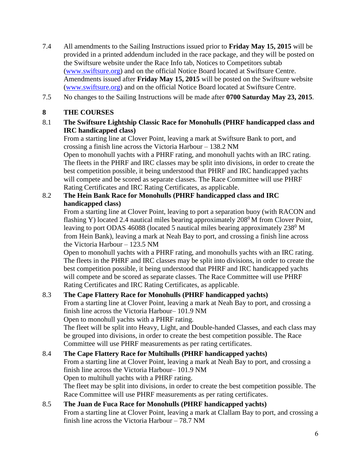- 7.4 All amendments to the Sailing Instructions issued prior to **Friday May 15, 2015** will be provided in a printed addendum included in the race package, and they will be posted on the Swiftsure website under the Race Info tab, Notices to Competitors subtab [\(www.swiftsure.org\)](http://www.swiftsure.org/notices-to-competitors/) and on the official Notice Board located at Swiftsure Centre. Amendments issued after **Friday May 15, 2015** will be posted on the Swiftsure website [\(www.swiftsure.org\)](http://www.swiftsure.org/notices-to-competitors/) and on the official Notice Board located at Swiftsure Centre.
- 7.5 No changes to the Sailing Instructions will be made after **0700 Saturday May 23, 2015**.

## **8 THE COURSES**

8.1 **The Swiftsure Lightship Classic Race for Monohulls (PHRF handicapped class and IRC handicapped class)**

From a starting line at Clover Point, leaving a mark at Swiftsure Bank to port, and crossing a finish line across the Victoria Harbour – 138.2 NM

Open to monohull yachts with a PHRF rating, and monohull yachts with an IRC rating. The fleets in the PHRF and IRC classes may be split into divisions, in order to create the best competition possible, it being understood that PHRF and IRC handicapped yachts will compete and be scored as separate classes. The Race Committee will use PHRF Rating Certificates and IRC Rating Certificates, as applicable.

## 8.2 **The Hein Bank Race for Monohulls (PHRF handicapped class and IRC handicapped class)**

From a starting line at Clover Point, leaving to port a separation buoy (with RACON and flashing Y) located 2.4 nautical miles bearing approximately  $208^{\circ}$  M from Clover Point, leaving to port ODAS 46088 (located 5 nautical miles bearing approximately  $238^{\circ}$  M from Hein Bank), leaving a mark at Neah Bay to port, and crossing a finish line across the Victoria Harbour – 123.5 NM

Open to monohull yachts with a PHRF rating, and monohulls yachts with an IRC rating. The fleets in the PHRF and IRC classes may be split into divisions, in order to create the best competition possible, it being understood that PHRF and IRC handicapped yachts will compete and be scored as separate classes. The Race Committee will use PHRF Rating Certificates and IRC Rating Certificates, as applicable.

# 8.3 **The Cape Flattery Race for Monohulls (PHRF handicapped yachts)**

From a starting line at Clover Point, leaving a mark at Neah Bay to port, and crossing a finish line across the Victoria Harbour– 101.9 NM

Open to monohull yachts with a PHRF rating.

The fleet will be split into Heavy, Light, and Double-handed Classes, and each class may be grouped into divisions, in order to create the best competition possible. The Race Committee will use PHRF measurements as per rating certificates.

# 8.4 **The Cape Flattery Race for Multihulls (PHRF handicapped yachts)**

From a starting line at Clover Point, leaving a mark at Neah Bay to port, and crossing a finish line across the Victoria Harbour– 101.9 NM Open to multihull yachts with a PHRF rating.

The fleet may be split into divisions, in order to create the best competition possible. The Race Committee will use PHRF measurements as per rating certificates.

# 8.5 **The Juan de Fuca Race for Monohulls (PHRF handicapped yachts)**

From a starting line at Clover Point, leaving a mark at Clallam Bay to port, and crossing a finish line across the Victoria Harbour – 78.7 NM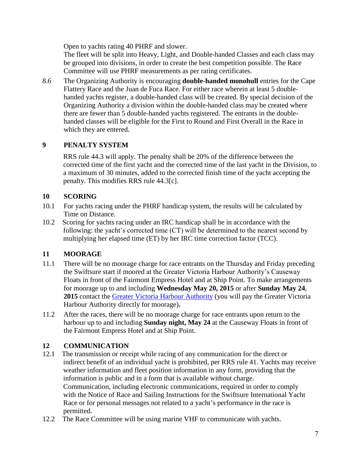Open to yachts rating 40 PHRF and slower.

The fleet will be split into Heavy, Light, and Double-handed Classes and each class may be grouped into divisions, in order to create the best competition possible. The Race Committee will use PHRF measurements as per rating certificates.

8.6 The Organizing Authority is encouraging **double-handed monohull** entries for the Cape Flattery Race and the Juan de Fuca Race. For either race wherein at least 5 doublehanded yachts register, a double-handed class will be created. By special decision of the Organizing Authority a division within the double-handed class may be created where there are fewer than 5 double-handed yachts registered. The entrants in the doublehanded classes will be eligible for the First to Round and First Overall in the Race in which they are entered.

### **9 PENALTY SYSTEM**

RRS rule 44.3 will apply. The penalty shall be 20% of the difference between the corrected time of the first yacht and the corrected time of the last yacht in the Division, to a maximum of 30 minutes, added to the corrected finish time of the yacht accepting the penalty. This modifies RRS rule 44.3[c].

### **10 SCORING**

- 10.1 For yachts racing under the PHRF handicap system, the results will be calculated by Time on Distance.
- 10.2 Scoring for yachts racing under an IRC handicap shall be in accordance with the following: the yacht's corrected time (CT) will be determined to the nearest second by multiplying her elapsed time (ET) by her IRC time correction factor (TCC).

# **11 MOORAGE**

- 11.1 There will be no moorage charge for race entrants on the Thursday and Friday preceding the Swiftsure start if moored at the Greater Victoria Harbour Authority's Causeway Floats in front of the Fairmont Empress Hotel and at Ship Point. To make arrangements for moorage up to and including **Wednesday May 20, 2015** or after **Sunday May 24**, 2015 contact the [Greater Victoria Harbour Authority](http://gvha.v3.ca/reservations.php) (you will pay the Greater Victoria Harbour Authority directly for moorage)**.**
- 11.2 After the races, there will be no moorage charge for race entrants upon return to the harbour up to and including **Sunday night, May 24** at the Causeway Floats in front of the Fairmont Empress Hotel and at Ship Point.

# **12 COMMUNICATION**

- 12.1 The transmission or receipt while racing of any communication for the direct or indirect benefit of an individual yacht is prohibited, per RRS rule 41. Yachts may receive weather information and fleet position information in any form, providing that the information is public and in a form that is available without charge. Communication, including electronic communications, required in order to comply with the Notice of Race and Sailing Instructions for the Swiftsure International Yacht Race or for personal messages not related to a yacht's performance in the race is permitted.
- 12.2 The Race Committee will be using marine VHF to communicate with yachts.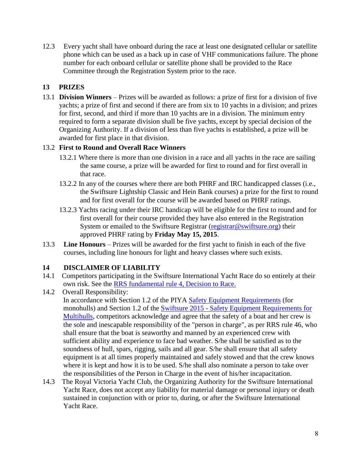12.3 Every yacht shall have onboard during the race at least one designated cellular or satellite phone which can be used as a back up in case of VHF communications failure. The phone number for each onboard cellular or satellite phone shall be provided to the Race Committee through the Registration System prior to the race.

# **13 PRIZES**

13.1 **Division Winners** – Prizes will be awarded as follows: a prize of first for a division of five yachts; a prize of first and second if there are from six to 10 yachts in a division; and prizes for first, second, and third if more than 10 yachts are in a division. The minimum entry required to form a separate division shall be five yachts, except by special decision of the Organizing Authority. If a division of less than five yachts is established, a prize will be awarded for first place in that division.

### 13.2 **First to Round and Overall Race Winners**

- 13.2.1 Where there is more than one division in a race and all yachts in the race are sailing the same course, a prize will be awarded for first to round and for first overall in that race.
- 13.2.2 In any of the courses where there are both PHRF and IRC handicapped classes (i.e., the Swiftsure Lightship Classic and Hein Bank courses) a prize for the first to round and for first overall for the course will be awarded based on PHRF ratings.
- 13.2.3 Yachts racing under their IRC handicap will be eligible for the first to round and for first overall for their course provided they have also entered in the Registration System or emailed to the Swiftsure Registrar [\(registrar@swiftsure.org\)](mailto:registrar@swiftsure.org) their approved PHRF rating by **Friday May 15, 2015**.
- 13.3 **Line Honours** Prizes will be awarded for the first yacht to finish in each of the five courses, including line honours for light and heavy classes where such exists.

# **14 DISCLAIMER OF LIABILITY**

- 14.1 Competitors participating in the Swiftsure International Yacht Race do so entirely at their own risk. See the [RRS fundamental rule 4, Decision to Race.](http://www.sailing.org/tools/documents/ISAFRRS20132016Final-%5B13376%5D.pdf)
- 14.2 Overall Responsibility: In accordance with Section 1.2 of the PIYA [Safety Equipment Requirements](http://www.piyasailing.com/) (for monohulls) and Section 1.2 of the Swiftsure 2015 - [Safety Equipment Requirements for](http://www.swiftsure.org/wp-content/uploads/2014/11/Safety-Equipment-Requirements-for-Multihulls-for-the-2015-Swiftsure-International-Yacht-Race.pdf)  [Multihulls,](http://www.swiftsure.org/wp-content/uploads/2014/11/Safety-Equipment-Requirements-for-Multihulls-for-the-2015-Swiftsure-International-Yacht-Race.pdf) competitors acknowledge and agree that the safety of a boat and her crew is the sole and inescapable responsibility of the "person in charge", as per RRS rule 46, who shall ensure that the boat is seaworthy and manned by an experienced crew with sufficient ability and experience to face bad weather. S/he shall be satisfied as to the soundness of hull, spars, rigging, sails and all gear. S/he shall ensure that all safety equipment is at all times properly maintained and safely stowed and that the crew knows where it is kept and how it is to be used. S/he shall also nominate a person to take over the responsibilities of the Person in Charge in the event of his/her incapacitation.
- 14.3 The Royal Victoria Yacht Club, the Organizing Authority for the Swiftsure International Yacht Race, does not accept any liability for material damage or personal injury or death sustained in conjunction with or prior to, during, or after the Swiftsure International Yacht Race.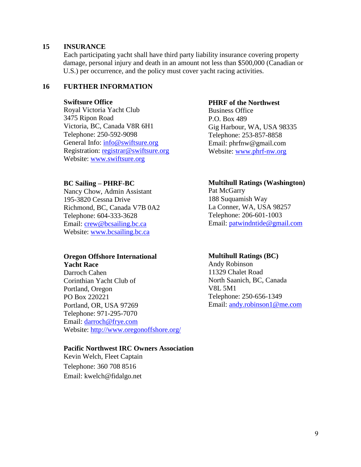#### **15 INSURANCE**

Each participating yacht shall have third party liability insurance covering property damage, personal injury and death in an amount not less than \$500,000 (Canadian or U.S.) per occurrence, and the policy must cover yacht racing activities.

#### **16 FURTHER INFORMATION**

#### **Swiftsure Office**

Royal Victoria Yacht Club 3475 Ripon Road Victoria, BC, Canada V8R 6H1 Telephone: 250-592-9098 General Info: [info@swiftsure.org](mailto:info@swiftsure.org) Registration: [registrar@swiftsure.org](mailto:registrar@swiftsure.org) Website: [www.swiftsure.org](http://www.swiftsure.org/)

#### **BC Sailing – PHRF-BC**

 Nancy Chow, Admin Assistant 195-3820 Cessna Drive Richmond, BC, Canada V7B 0A2 Telephone: 604-333-3628 Email: [crew@bcsailing.bc.ca](mailto:crew@bcsailing.bc.ca) Website: [www.bcsailing.bc.ca](http://www.bcsailing.bc.ca/)

#### **Oregon Offshore International Yacht Race**

Darroch Cahen Corinthian Yacht Club of Portland, Oregon PO Box 220221 Portland, OR, USA 97269 Telephone: 971-295-7070 Email: [darroch@frye.com](mailto:Mrkahl@gmail.com) Website:<http://www.oregonoffshore.org/>

#### **Pacific Northwest IRC Owners Association**

Kevin Welch, Fleet Captain Telephone: 360 708 8516 Email: kwelch@fidalgo.net

#### **PHRF of the Northwest**

 Business Office P.O. Box 489 Gig Harbour, WA, USA 98335 Telephone: 253-857-8858 Email: phrfnw@gmail.com Website: [www.phrf-nw.org](http://www.phrf-nw.org/)

#### **Multihull Ratings (Washington)**

Pat McGarry 188 Suquamish Way La Conner, WA, USA 98257 Telephone: 206-601-1003 Email: [patwindntide@gmail.com](mailto:patwindntide@gmail.com)

#### **Multihull Ratings (BC)**

Andy Robinson 11329 Chalet Road North Saanich, BC, Canada V8L 5M1 Telephone: 250-656-1349 Email: [andy.robinson1@me.com](mailto:andy.robinson1@me.com)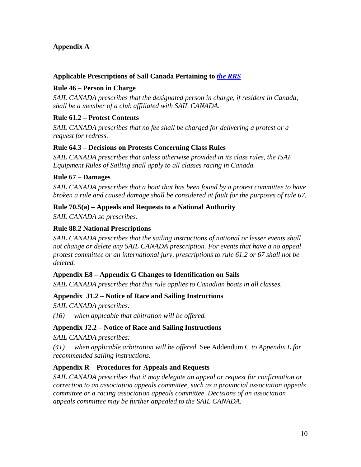### **Appendix A**

### **Applicable Prescriptions of Sail Canada Pertaining to** *the [RRS](http://www.sailing.org/documents/racingrules/index.php)*

### **Rule 46 – Person in Charge**

*SAIL CANADA prescribes that the designated person in charge, if resident in Canada, shall be a member of a club affiliated with SAIL CANADA.*

### **Rule 61.2 – Protest Contents**

*SAIL CANADA prescribes that no fee shall be charged for delivering a protest or a request for redress.*

### **Rule 64.3 – Decisions on Protests Concerning Class Rules**

*SAIL CANADA prescribes that unless otherwise provided in its class rules, the ISAF Equipment Rules of Sailing shall apply to all classes racing in Canada.*

### **Rule 67 – Damages**

*SAIL CANADA prescribes that a boat that has been found by a protest committee to have broken a rule and caused damage shall be considered at fault for the purposes of rule 67.*

### **Rule 70.5(a) – Appeals and Requests to a National Authority**

*SAIL CANADA so prescribes.*

### **Rule 88.2 National Prescriptions**

*SAIL CANADA prescribes that the sailing instructions of national or lesser events shall not change or delete any SAIL CANADA prescription. For events that have a no appeal protest committee or an international jury, prescriptions to rule 61.2 or 67 shall not be deleted.*

### **Appendix E8 – Appendix G Changes to Identification on Sails**

*SAIL CANADA prescribes that this rule applies to Canadian boats in all classes.*

### **Appendix J1.2 – Notice of Race and Sailing Instructions**

*SAIL CANADA prescribes:*

*(16) when applcable that abitration will be offered.*

### **Appendix J2.2 – Notice of Race and Sailing Instructions**

*SAIL CANADA prescribes:*

*(41) when applicable arbitration will be offered.* See Addendum C *to Appendix L for recommended sailing instructions.*

### **Appendix R – Procedures for Appeals and Requests**

*SAIL CANADA prescribes that it may delegate an appeal or request for confirmation or correction to an association appeals committee, such as a provincial association appeals committee or a racing association appeals committee. Decisions of an association appeals committee may be further appealed to the SAIL CANADA.*